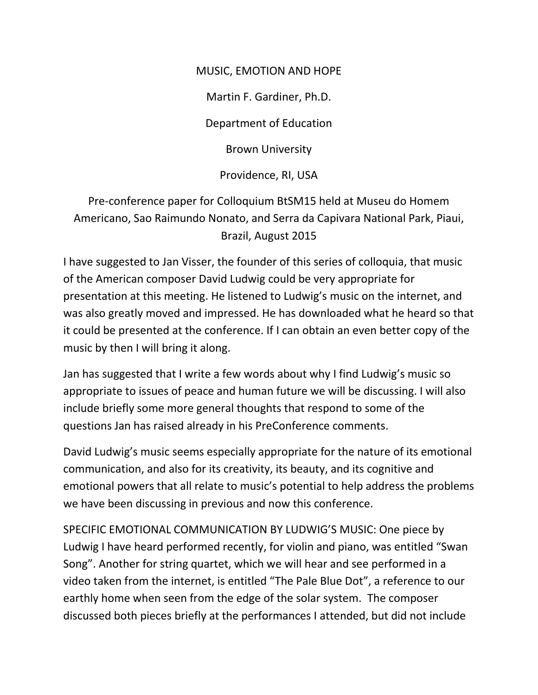## MUSIC, EMOTION AND HOPE

Martin F. Gardiner, Ph.D.

Department of Education

Brown University

Providence, RI, USA

Pre-conference paper for Colloquium BtSM15 held at Museu do Homem Americano, Sao Raimundo Nonato, and Serra da Capivara National Park, Piaui, Brazil, August 2015

I have suggested to Jan Visser, the founder of this series of colloquia, that music of the American composer David Ludwig could be very appropriate for presentation at this meeting. He listened to Ludwig's music on the internet, and was also greatly moved and impressed. He has downloaded what he heard so that it could be presented at the conference. If I can obtain an even better copy of the music by then I will bring it along.

Jan has suggested that I write a few words about why I find Ludwig's music so appropriate to issues of peace and human future we will be discussing. I will also include briefly some more general thoughts that respond to some of the questions Jan has raised already in his PreConference comments.

David Ludwig's music seems especially appropriate for the nature of its emotional communication, and also for its creativity, its beauty, and its cognitive and emotional powers that all relate to music's potential to help address the problems we have been discussing in previous and now this conference.

SPECIFIC EMOTIONAL COMMUNICATION BY LUDWIG'S MUSIC: One piece by Ludwig I have heard performed recently, for violin and piano, was entitled "Swan Song". Another for string quartet, which we will hear and see performed in a video taken from the internet, is entitled "The Pale Blue Dot", a reference to our earthly home when seen from the edge of the solar system. The composer discussed both pieces briefly at the performances I attended, but did not include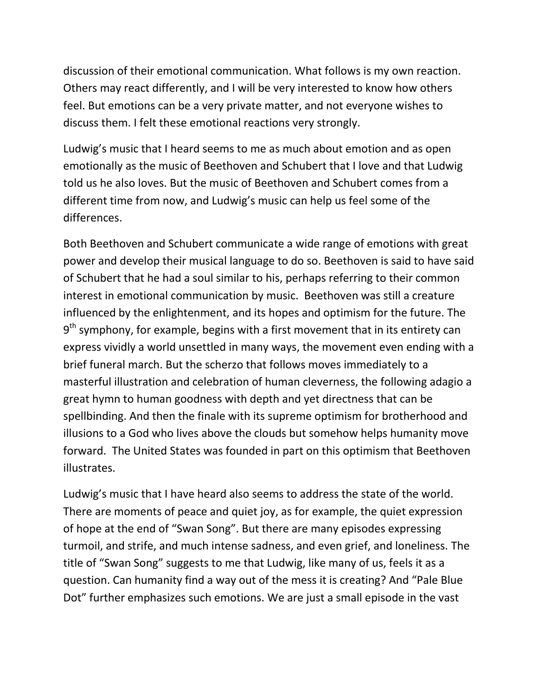discussion of their emotional communication. What follows is my own reaction. Others may react differently, and I will be very interested to know how others feel. But emotions can be a very private matter, and not everyone wishes to discuss them. I felt these emotional reactions very strongly.

Ludwig's music that I heard seems to me as much about emotion and as open emotionally as the music of Beethoven and Schubert that I love and that Ludwig told us he also loves. But the music of Beethoven and Schubert comes from a different time from now, and Ludwig's music can help us feel some of the differences.

Both Beethoven and Schubert communicate a wide range of emotions with great power and develop their musical language to do so. Beethoven is said to have said of Schubert that he had a soul similar to his, perhaps referring to their common interest in emotional communication by music. Beethoven was still a creature influenced by the enlightenment, and its hopes and optimism for the future. The 9<sup>th</sup> symphony, for example, begins with a first movement that in its entirety can express vividly a world unsettled in many ways, the movement even ending with a brief funeral march. But the scherzo that follows moves immediately to a masterful illustration and celebration of human cleverness, the following adagio a great hymn to human goodness with depth and yet directness that can be spellbinding. And then the finale with its supreme optimism for brotherhood and illusions to a God who lives above the clouds but somehow helps humanity move forward. The United States was founded in part on this optimism that Beethoven illustrates.

Ludwig's music that I have heard also seems to address the state of the world. There are moments of peace and quiet joy, as for example, the quiet expression of hope at the end of "Swan Song". But there are many episodes expressing turmoil, and strife, and much intense sadness, and even grief, and loneliness. The title of "Swan Song" suggests to me that Ludwig, like many of us, feels it as a question. Can humanity find a way out of the mess it is creating? And "Pale Blue Dot" further emphasizes such emotions. We are just a small episode in the vast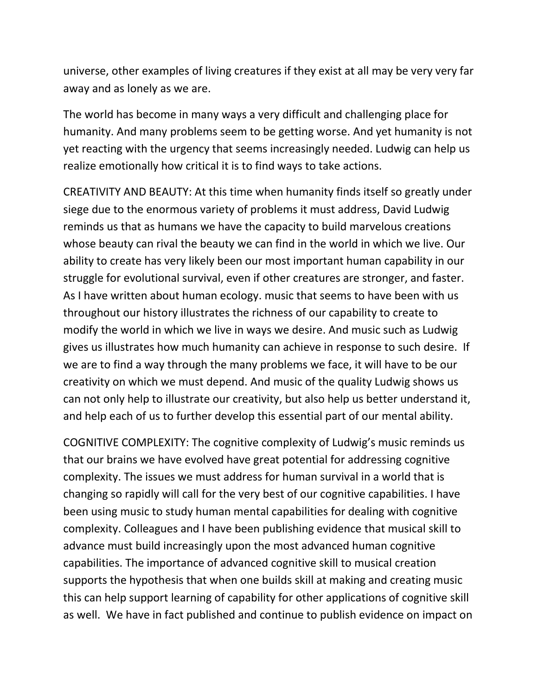universe, other examples of living creatures if they exist at all may be very very far away and as lonely as we are.

The world has become in many ways a very difficult and challenging place for humanity. And many problems seem to be getting worse. And yet humanity is not yet reacting with the urgency that seems increasingly needed. Ludwig can help us realize emotionally how critical it is to find ways to take actions.

CREATIVITY AND BEAUTY: At this time when humanity finds itself so greatly under siege due to the enormous variety of problems it must address, David Ludwig reminds us that as humans we have the capacity to build marvelous creations whose beauty can rival the beauty we can find in the world in which we live. Our ability to create has very likely been our most important human capability in our struggle for evolutional survival, even if other creatures are stronger, and faster. As I have written about human ecology. music that seems to have been with us throughout our history illustrates the richness of our capability to create to modify the world in which we live in ways we desire. And music such as Ludwig gives us illustrates how much humanity can achieve in response to such desire. If we are to find a way through the many problems we face, it will have to be our creativity on which we must depend. And music of the quality Ludwig shows us can not only help to illustrate our creativity, but also help us better understand it, and help each of us to further develop this essential part of our mental ability.

COGNITIVE COMPLEXITY: The cognitive complexity of Ludwig's music reminds us that our brains we have evolved have great potential for addressing cognitive complexity. The issues we must address for human survival in a world that is changing so rapidly will call for the very best of our cognitive capabilities. I have been using music to study human mental capabilities for dealing with cognitive complexity. Colleagues and I have been publishing evidence that musical skill to advance must build increasingly upon the most advanced human cognitive capabilities. The importance of advanced cognitive skill to musical creation supports the hypothesis that when one builds skill at making and creating music this can help support learning of capability for other applications of cognitive skill as well. We have in fact published and continue to publish evidence on impact on